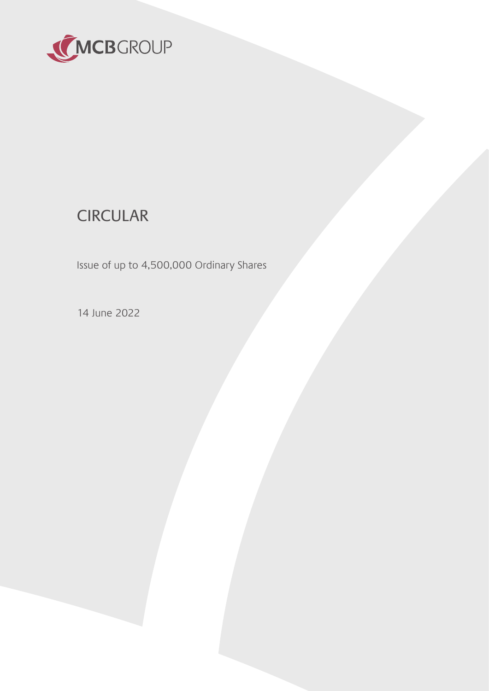

# **CIRCULAR**

Issue of up to 4,500,000 Ordinary Shares

14 June 2022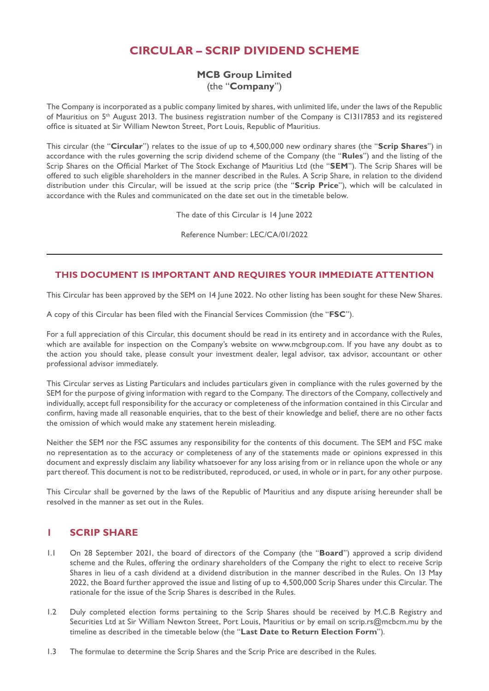# **CIRCULAR – SCRIP DIVIDEND SCHEME**

## **MCB Group Limited** (the "**Company**")

The Company is incorporated as a public company limited by shares, with unlimited life, under the laws of the Republic of Mauritius on 5th August 2013. The business registration number of the Company is C13117853 and its registered office is situated at Sir William Newton Street, Port Louis, Republic of Mauritius.

This circular (the "**Circular**") relates to the issue of up to 4,500,000 new ordinary shares (the "**Scrip Shares**") in accordance with the rules governing the scrip dividend scheme of the Company (the "**Rules**") and the listing of the Scrip Shares on the Official Market of The Stock Exchange of Mauritius Ltd (the "**SEM**"). The Scrip Shares will be offered to such eligible shareholders in the manner described in the Rules. A Scrip Share, in relation to the dividend distribution under this Circular, will be issued at the scrip price (the "**Scrip Price**"), which will be calculated in accordance with the Rules and communicated on the date set out in the timetable below.

The date of this Circular is 14 June 2022

Reference Number: LEC/CA/01/2022

#### **THIS DOCUMENT IS IMPORTANT AND REQUIRES YOUR IMMEDIATE ATTENTION**

This Circular has been approved by the SEM on 14 June 2022. No other listing has been sought for these New Shares.

A copy of this Circular has been filed with the Financial Services Commission (the "**FSC**").

For a full appreciation of this Circular, this document should be read in its entirety and in accordance with the Rules, which are available for inspection on the Company's website on www.mcbgroup.com. If you have any doubt as to the action you should take, please consult your investment dealer, legal advisor, tax advisor, accountant or other professional advisor immediately.

This Circular serves as Listing Particulars and includes particulars given in compliance with the rules governed by the SEM for the purpose of giving information with regard to the Company. The directors of the Company, collectively and individually, accept full responsibility for the accuracy or completeness of the information contained in this Circular and confirm, having made all reasonable enquiries, that to the best of their knowledge and belief, there are no other facts the omission of which would make any statement herein misleading.

Neither the SEM nor the FSC assumes any responsibility for the contents of this document. The SEM and FSC make no representation as to the accuracy or completeness of any of the statements made or opinions expressed in this document and expressly disclaim any liability whatsoever for any loss arising from or in reliance upon the whole or any part thereof. This document is not to be redistributed, reproduced, or used, in whole or in part, for any other purpose.

This Circular shall be governed by the laws of the Republic of Mauritius and any dispute arising hereunder shall be resolved in the manner as set out in the Rules.

#### **1 SCRIP SHARE**

- 1.1 On 28 September 2021, the board of directors of the Company (the "**Board**") approved a scrip dividend scheme and the Rules, offering the ordinary shareholders of the Company the right to elect to receive Scrip Shares in lieu of a cash dividend at a dividend distribution in the manner described in the Rules. On 13 May 2022, the Board further approved the issue and listing of up to 4,500,000 Scrip Shares under this Circular. The rationale for the issue of the Scrip Shares is described in the Rules.
- 1.2 Duly completed election forms pertaining to the Scrip Shares should be received by M.C.B Registry and Securities Ltd at Sir William Newton Street, Port Louis, Mauritius or by email on scrip.rs@mcbcm.mu by the timeline as described in the timetable below (the "**Last Date to Return Election Form**").
- 1.3 The formulae to determine the Scrip Shares and the Scrip Price are described in the Rules.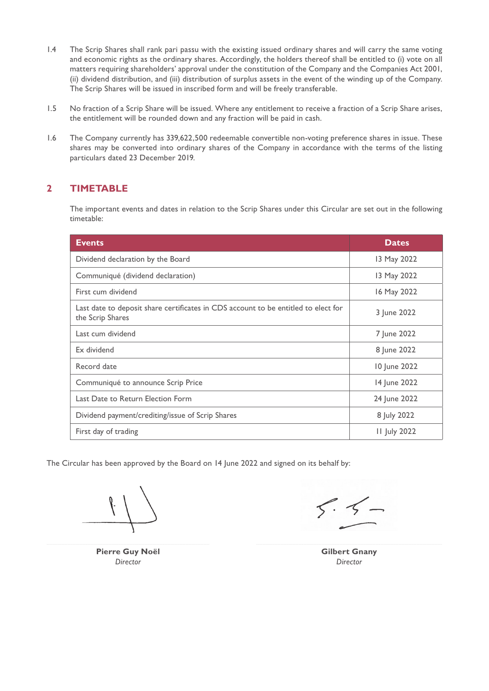- 1.4 The Scrip Shares shall rank pari passu with the existing issued ordinary shares and will carry the same voting and economic rights as the ordinary shares. Accordingly, the holders thereof shall be entitled to (i) vote on all matters requiring shareholders' approval under the constitution of the Company and the Companies Act 2001, (ii) dividend distribution, and (iii) distribution of surplus assets in the event of the winding up of the Company. The Scrip Shares will be issued in inscribed form and will be freely transferable.
- 1.5 No fraction of a Scrip Share will be issued. Where any entitlement to receive a fraction of a Scrip Share arises, the entitlement will be rounded down and any fraction will be paid in cash.
- 1.6 The Company currently has 339,622,500 redeemable convertible non-voting preference shares in issue. These shares may be converted into ordinary shares of the Company in accordance with the terms of the listing particulars dated 23 December 2019.

## **2 TIMETABLE**

 The important events and dates in relation to the Scrip Shares under this Circular are set out in the following timetable:

| <b>Events</b>                                                                                          | <b>Dates</b>        |
|--------------------------------------------------------------------------------------------------------|---------------------|
| Dividend declaration by the Board                                                                      | 13 May 2022         |
| Communiqué (dividend declaration)                                                                      | 13 May 2022         |
| First cum dividend                                                                                     | 16 May 2022         |
| Last date to deposit share certificates in CDS account to be entitled to elect for<br>the Scrip Shares | 3 June 2022         |
| Last cum dividend                                                                                      | 7 June 2022         |
| Ex dividend                                                                                            | 8 June 2022         |
| Record date                                                                                            | 10 June 2022        |
| Communiqué to announce Scrip Price                                                                     | 14 June 2022        |
| Last Date to Return Election Form                                                                      | 24 June 2022        |
| Dividend payment/crediting/issue of Scrip Shares                                                       | 8 July 2022         |
| First day of trading                                                                                   | <b>II July 2022</b> |

The Circular has been approved by the Board on 14 June 2022 and signed on its behalf by:

**Pierre Guy Noël Gilbert Gnany** *Director Director*

 $5.5$